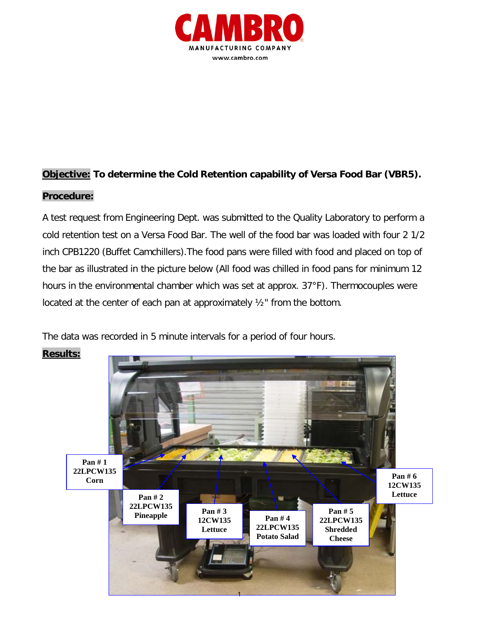

## **Objective: To determine the Cold Retention capability of Versa Food Bar (VBR5).**

## **Procedure:**

A test request from Engineering Dept. was submitted to the Quality Laboratory to perform a cold retention test on a Versa Food Bar. The well of the food bar was loaded with four 2 1/2 inch CPB1220 (Buffet Camchillers).The food pans were filled with food and placed on top of the bar as illustrated in the picture below (All food was chilled in food pans for minimum 12 hours in the environmental chamber which was set at approx. 37°F). Thermocouples were located at the center of each pan at approximately ½" from the bottom.

The data was recorded in 5 minute intervals for a period of four hours.



**Results:**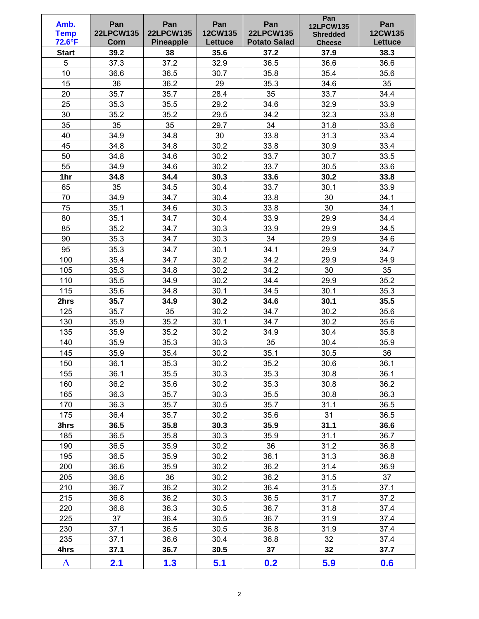| Amb.<br><b>Temp</b><br>72.6°F | Pan<br><b>22LPCW135</b><br>Corn | Pan<br><b>22LPCW135</b><br><b>Pineapple</b> | Pan<br>12CW135<br>Lettuce | Pan<br><b>22LPCW135</b><br><b>Potato Salad</b> | Pan<br><b>12LPCW135</b><br><b>Shredded</b><br><b>Cheese</b> | Pan<br>12CW135<br><b>Lettuce</b> |
|-------------------------------|---------------------------------|---------------------------------------------|---------------------------|------------------------------------------------|-------------------------------------------------------------|----------------------------------|
| <b>Start</b>                  | 39.2                            | 38                                          | 35.6                      | 37.2                                           | 37.9                                                        | 38.3                             |
| 5                             | 37.3                            | 37.2                                        | 32.9                      | 36.5                                           | 36.6                                                        | 36.6                             |
| 10                            | 36.6                            | 36.5                                        | 30.7                      | 35.8                                           | 35.4                                                        | 35.6                             |
| 15                            | 36                              | 36.2                                        | 29                        | 35.3                                           | 34.6                                                        | 35                               |
| 20                            | 35.7                            | 35.7                                        | 28.4                      | 35                                             | 33.7                                                        | 34.4                             |
| 25                            | 35.3                            | 35.5                                        | 29.2                      | 34.6                                           | 32.9                                                        | 33.9                             |
| 30                            | 35.2                            | 35.2                                        | 29.5                      | 34.2                                           | 32.3                                                        | 33.8                             |
| 35                            | 35                              | 35                                          | 29.7                      | 34                                             | 31.8                                                        | 33.6                             |
| 40                            | 34.9                            | 34.8                                        | 30                        | 33.8                                           | 31.3                                                        | 33.4                             |
| 45                            | 34.8                            | 34.8                                        | 30.2                      | 33.8                                           | 30.9                                                        | 33.4                             |
| 50                            | 34.8                            | 34.6                                        | 30.2                      | 33.7                                           | 30.7                                                        | 33.5                             |
| 55                            | 34.9                            | 34.6                                        | 30.2                      | 33.7                                           | 30.5                                                        | 33.6                             |
| 1hr                           | 34.8                            | 34.4                                        | 30.3                      | 33.6                                           | 30.2                                                        | 33.8                             |
| 65                            | 35                              | 34.5                                        | 30.4                      | 33.7                                           | 30.1                                                        | 33.9                             |
| 70                            | 34.9                            | 34.7                                        | 30.4                      | 33.8                                           | 30                                                          | 34.1                             |
| 75                            | 35.1                            | 34.6                                        | 30.3                      | 33.8                                           | 30                                                          | 34.1                             |
| 80                            | 35.1                            | 34.7                                        | 30.4                      | 33.9                                           | 29.9                                                        | 34.4                             |
| 85                            | 35.2                            | 34.7                                        | 30.3                      | 33.9                                           | 29.9                                                        | 34.5                             |
| 90                            | 35.3                            | 34.7                                        | 30.3                      | 34                                             | 29.9                                                        | 34.6                             |
| 95                            | 35.3                            | 34.7                                        | 30.1                      | 34.1                                           | 29.9                                                        | 34.7                             |
| 100                           | 35.4                            | 34.7                                        | 30.2                      | 34.2                                           | 29.9                                                        | 34.9                             |
| 105                           | 35.3                            | 34.8                                        | 30.2                      | 34.2                                           | 30                                                          | 35                               |
| 110                           | 35.5                            | 34.9                                        | 30.2                      | 34.4                                           | 29.9                                                        | 35.2                             |
| 115                           | 35.6                            | 34.8                                        | 30.1                      | 34.5                                           | 30.1                                                        | 35.3                             |
| 2hrs                          | 35.7                            | 34.9                                        | 30.2                      | 34.6                                           | 30.1                                                        | 35.5                             |
| 125                           | 35.7                            | 35                                          | 30.2                      | 34.7                                           | 30.2                                                        | 35.6                             |
| 130                           | 35.9                            | 35.2                                        | 30.1                      | 34.7                                           | 30.2                                                        | 35.6                             |
| 135                           | 35.9                            | 35.2                                        | 30.2                      | 34.9                                           | 30.4                                                        | 35.8                             |
| 140                           | 35.9                            | 35.3                                        | 30.3                      | 35                                             | 30.4                                                        | 35.9                             |
| 145                           | 35.9                            | 35.4                                        | 30.2                      | 35.1                                           | 30.5                                                        | 36                               |
| 150                           | 36.1                            | 35.3                                        | 30.2                      | 35.2                                           | 30.6                                                        | 36.1                             |
| 155                           | 36.1                            | 35.5                                        | 30.3                      | 35.3                                           | 30.8                                                        | 36.1                             |
| 160                           | 36.2                            | 35.6                                        | 30.2                      | 35.3                                           | 30.8                                                        | 36.2                             |
| 165                           | 36.3                            | 35.7                                        | 30.3                      | 35.5                                           | 30.8                                                        | 36.3                             |
| 170                           | 36.3                            | 35.7                                        | 30.5                      | 35.7                                           | 31.1                                                        | 36.5                             |
| 175                           | 36.4                            | 35.7                                        | 30.2                      | 35.6                                           | 31                                                          | 36.5                             |
| 3hrs                          | 36.5                            | 35.8                                        | 30.3                      | 35.9                                           | 31.1                                                        | 36.6                             |
| 185                           | 36.5                            | 35.8                                        | 30.3                      | 35.9                                           | 31.1                                                        | 36.7                             |
| 190                           | 36.5                            | 35.9                                        | 30.2                      | 36                                             | 31.2                                                        | 36.8                             |
| 195                           | 36.5                            | 35.9                                        | 30.2                      | 36.1                                           | 31.3                                                        | 36.8                             |
| 200                           | 36.6                            | 35.9                                        | 30.2                      | 36.2                                           | 31.4                                                        | 36.9                             |
| 205                           | 36.6                            | 36                                          | 30.2                      | 36.2                                           | 31.5                                                        | 37                               |
| 210                           | 36.7                            | 36.2                                        | 30.2                      | 36.4                                           | 31.5                                                        | 37.1                             |
| 215                           | 36.8                            | 36.2                                        | 30.3                      | 36.5                                           | 31.7                                                        | 37.2                             |
| 220                           | 36.8                            | 36.3                                        | 30.5                      | 36.7                                           | 31.8                                                        | 37.4                             |
| 225                           | 37                              | 36.4                                        | 30.5                      | 36.7                                           | 31.9                                                        | 37.4                             |
| 230                           | 37.1                            | 36.5                                        | 30.5                      | 36.8                                           | 31.9                                                        | 37.4                             |
| 235                           | 37.1                            | 36.6                                        | 30.4                      | 36.8                                           | 32                                                          | 37.4                             |
| 4hrs                          | 37.1                            | 36.7                                        | 30.5                      | 37                                             | 32                                                          | 37.7                             |
| $\Delta$                      | 2.1                             | 1.3                                         | 5.1                       | 0.2                                            | 5.9                                                         | 0.6                              |